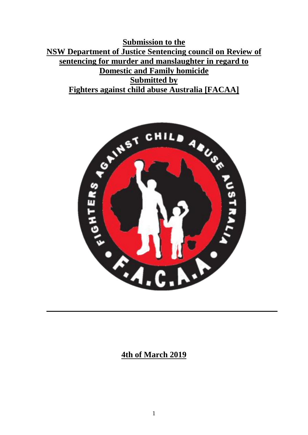**Submission to the NSW Department of Justice Sentencing council on Review of sentencing for murder and manslaughter in regard to Domestic and Family homicide Submitted by Fighters against child abuse Australia [FACAA]**



#### **4th of March 2019**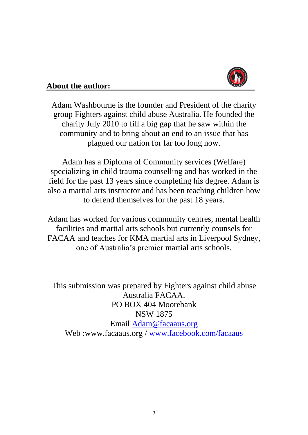

#### **About the author:**

Adam Washbourne is the founder and President of the charity group Fighters against child abuse Australia. He founded the charity July 2010 to fill a big gap that he saw within the community and to bring about an end to an issue that has plagued our nation for far too long now.

Adam has a Diploma of Community services (Welfare) specializing in child trauma counselling and has worked in the field for the past 13 years since completing his degree. Adam is also a martial arts instructor and has been teaching children how to defend themselves for the past 18 years.

Adam has worked for various community centres, mental health facilities and martial arts schools but currently counsels for FACAA and teaches for KMA martial arts in Liverpool Sydney, one of Australia's premier martial arts schools.

This submission was prepared by Fighters against child abuse Australia FACAA. PO BOX 404 Moorebank NSW 1875 Email Adam@facaaus.org Web :www.facaaus.org / www.facebook.com/facaaus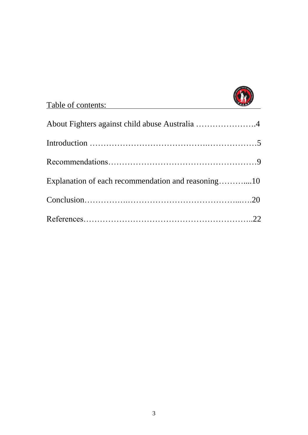

| Table of contents:                                 | <b>RAGAL</b> |
|----------------------------------------------------|--------------|
| About Fighters against child abuse Australia 4     |              |
|                                                    |              |
|                                                    |              |
| Explanation of each recommendation and reasoning10 |              |
|                                                    |              |
|                                                    |              |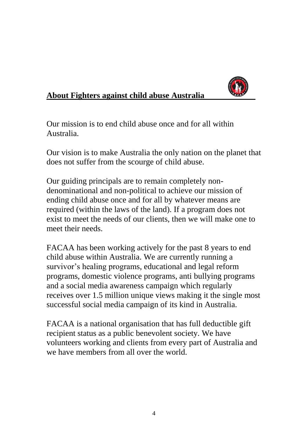

# **About Fighters against child abuse Australia**

Our mission is to end child abuse once and for all within Australia.

Our vision is to make Australia the only nation on the planet that does not suffer from the scourge of child abuse.

Our guiding principals are to remain completely nondenominational and non-political to achieve our mission of ending child abuse once and for all by whatever means are required (within the laws of the land). If a program does not exist to meet the needs of our clients, then we will make one to meet their needs.

FACAA has been working actively for the past 8 years to end child abuse within Australia. We are currently running a survivor's healing programs, educational and legal reform programs, domestic violence programs, anti bullying programs and a social media awareness campaign which regularly receives over 1.5 million unique views making it the single most successful social media campaign of its kind in Australia.

FACAA is a national organisation that has full deductible gift recipient status as a public benevolent society. We have volunteers working and clients from every part of Australia and we have members from all over the world.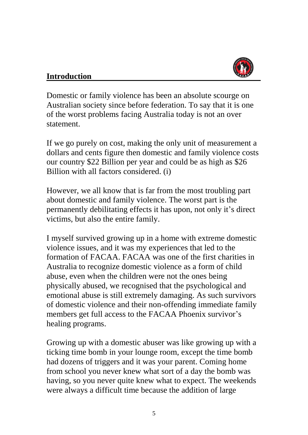

## **Introduction**

Domestic or family violence has been an absolute scourge on Australian society since before federation. To say that it is one of the worst problems facing Australia today is not an over statement.

If we go purely on cost, making the only unit of measurement a dollars and cents figure then domestic and family violence costs our country \$22 Billion per year and could be as high as \$26 Billion with all factors considered. (i)

However, we all know that is far from the most troubling part about domestic and family violence. The worst part is the permanently debilitating effects it has upon, not only it's direct victims, but also the entire family.

I myself survived growing up in a home with extreme domestic violence issues, and it was my experiences that led to the formation of FACAA. FACAA was one of the first charities in Australia to recognize domestic violence as a form of child abuse, even when the children were not the ones being physically abused, we recognised that the psychological and emotional abuse is still extremely damaging. As such survivors of domestic violence and their non-offending immediate family members get full access to the FACAA Phoenix survivor's healing programs.

Growing up with a domestic abuser was like growing up with a ticking time bomb in your lounge room, except the time bomb had dozens of triggers and it was your parent. Coming home from school you never knew what sort of a day the bomb was having, so you never quite knew what to expect. The weekends were always a difficult time because the addition of large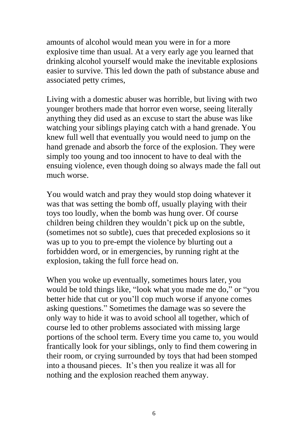amounts of alcohol would mean you were in for a more explosive time than usual. At a very early age you learned that drinking alcohol yourself would make the inevitable explosions easier to survive. This led down the path of substance abuse and associated petty crimes,

Living with a domestic abuser was horrible, but living with two younger brothers made that horror even worse, seeing literally anything they did used as an excuse to start the abuse was like watching your siblings playing catch with a hand grenade. You knew full well that eventually you would need to jump on the hand grenade and absorb the force of the explosion. They were simply too young and too innocent to have to deal with the ensuing violence, even though doing so always made the fall out much worse.

You would watch and pray they would stop doing whatever it was that was setting the bomb off, usually playing with their toys too loudly, when the bomb was hung over. Of course children being children they wouldn't pick up on the subtle, (sometimes not so subtle), cues that preceded explosions so it was up to you to pre-empt the violence by blurting out a forbidden word, or in emergencies, by running right at the explosion, taking the full force head on.

When you woke up eventually, sometimes hours later, you would be told things like, "look what you made me do," or "you better hide that cut or you'll cop much worse if anyone comes asking questions." Sometimes the damage was so severe the only way to hide it was to avoid school all together, which of course led to other problems associated with missing large portions of the school term. Every time you came to, you would frantically look for your siblings, only to find them cowering in their room, or crying surrounded by toys that had been stomped into a thousand pieces. It's then you realize it was all for nothing and the explosion reached them anyway.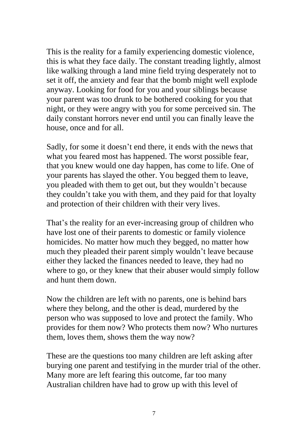This is the reality for a family experiencing domestic violence, this is what they face daily. The constant treading lightly, almost like walking through a land mine field trying desperately not to set it off, the anxiety and fear that the bomb might well explode anyway. Looking for food for you and your siblings because your parent was too drunk to be bothered cooking for you that night, or they were angry with you for some perceived sin. The daily constant horrors never end until you can finally leave the house, once and for all.

Sadly, for some it doesn't end there, it ends with the news that what you feared most has happened. The worst possible fear, that you knew would one day happen, has come to life. One of your parents has slayed the other. You begged them to leave, you pleaded with them to get out, but they wouldn't because they couldn't take you with them, and they paid for that loyalty and protection of their children with their very lives.

That's the reality for an ever-increasing group of children who have lost one of their parents to domestic or family violence homicides. No matter how much they begged, no matter how much they pleaded their parent simply wouldn't leave because either they lacked the finances needed to leave, they had no where to go, or they knew that their abuser would simply follow and hunt them down.

Now the children are left with no parents, one is behind bars where they belong, and the other is dead, murdered by the person who was supposed to love and protect the family. Who provides for them now? Who protects them now? Who nurtures them, loves them, shows them the way now?

These are the questions too many children are left asking after burying one parent and testifying in the murder trial of the other. Many more are left fearing this outcome, far too many Australian children have had to grow up with this level of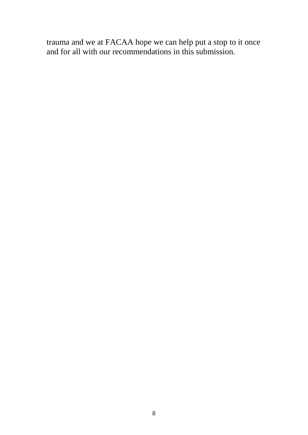trauma and we at FACAA hope we can help put a stop to it once and for all with our recommendations in this submission.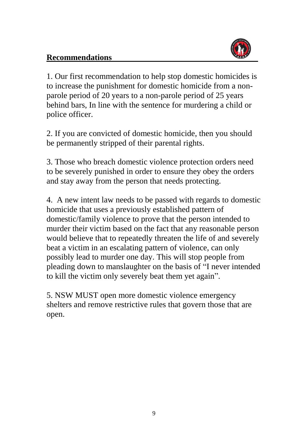## **Recommendations**



1. Our first recommendation to help stop domestic homicides is to increase the punishment for domestic homicide from a nonparole period of 20 years to a non-parole period of 25 years behind bars, In line with the sentence for murdering a child or police officer.

2. If you are convicted of domestic homicide, then you should be permanently stripped of their parental rights.

3. Those who breach domestic violence protection orders need to be severely punished in order to ensure they obey the orders and stay away from the person that needs protecting.

4. A new intent law needs to be passed with regards to domestic homicide that uses a previously established pattern of domestic/family violence to prove that the person intended to murder their victim based on the fact that any reasonable person would believe that to repeatedly threaten the life of and severely beat a victim in an escalating pattern of violence, can only possibly lead to murder one day. This will stop people from pleading down to manslaughter on the basis of "I never intended to kill the victim only severely beat them yet again".

5. NSW MUST open more domestic violence emergency shelters and remove restrictive rules that govern those that are open.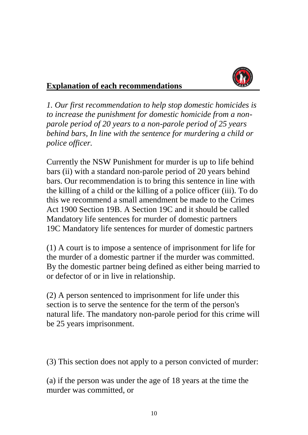

## **Explanation of each recommendations**

*1. Our first recommendation to help stop domestic homicides is to increase the punishment for domestic homicide from a nonparole period of 20 years to a non-parole period of 25 years behind bars, In line with the sentence for murdering a child or police officer.*

Currently the NSW Punishment for murder is up to life behind bars (ii) with a standard non-parole period of 20 years behind bars. Our recommendation is to bring this sentence in line with the killing of a child or the killing of a police officer (iii). To do this we recommend a small amendment be made to the Crimes Act 1900 Section 19B. A Section 19C and it should be called Mandatory life sentences for murder of domestic partners 19C Mandatory life sentences for murder of domestic partners

(1) A court is to impose a sentence of imprisonment for life for the murder of a domestic partner if the murder was committed. By the domestic partner being defined as either being married to or defector of or in live in relationship.

(2) A person sentenced to imprisonment for life under this section is to serve the sentence for the term of the person's natural life. The mandatory non-parole period for this crime will be 25 years imprisonment.

(3) This section does not apply to a person convicted of murder:

(a) if the person was under the age of 18 years at the time the murder was committed, or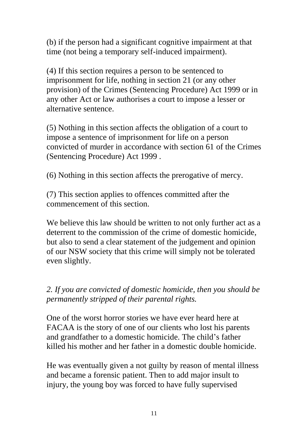(b) if the person had a significant cognitive impairment at that time (not being a temporary self-induced impairment).

(4) If this section requires a person to be sentenced to imprisonment for life, nothing in section 21 (or any other provision) of the Crimes (Sentencing Procedure) Act 1999 or in any other Act or law authorises a court to impose a lesser or alternative sentence.

(5) Nothing in this section affects the obligation of a court to impose a sentence of imprisonment for life on a person convicted of murder in accordance with section 61 of the Crimes (Sentencing Procedure) Act 1999 .

(6) Nothing in this section affects the prerogative of mercy.

(7) This section applies to offences committed after the commencement of this section.

We believe this law should be written to not only further act as a deterrent to the commission of the crime of domestic homicide, but also to send a clear statement of the judgement and opinion of our NSW society that this crime will simply not be tolerated even slightly.

*2. If you are convicted of domestic homicide, then you should be permanently stripped of their parental rights.*

One of the worst horror stories we have ever heard here at FACAA is the story of one of our clients who lost his parents and grandfather to a domestic homicide. The child's father killed his mother and her father in a domestic double homicide.

He was eventually given a not guilty by reason of mental illness and became a forensic patient. Then to add major insult to injury, the young boy was forced to have fully supervised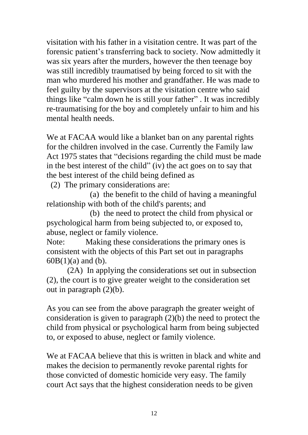visitation with his father in a visitation centre. It was part of the forensic patient's transferring back to society. Now admittedly it was six years after the murders, however the then teenage boy was still incredibly traumatised by being forced to sit with the man who murdered his mother and grandfather. He was made to feel guilty by the supervisors at the visitation centre who said things like "calm down he is still your father" . It was incredibly re-traumatising for the boy and completely unfair to him and his mental health needs.

We at FACAA would like a blanket ban on any parental rights for the children involved in the case. Currently the Family law Act 1975 states that "decisions regarding the child must be made in the best interest of the child" (iv) the act goes on to say that the best interest of the child being defined as

(2) The primary considerations are:

 (a) the benefit to the child of having a meaningful relationship with both of the child's parents; and

 (b) the need to protect the child from physical or psychological harm from being subjected to, or exposed to, abuse, neglect or family violence.

Note: Making these considerations the primary ones is consistent with the objects of this Part set out in paragraphs  $60B(1)(a)$  and (b).

 (2A) In applying the considerations set out in subsection (2), the court is to give greater weight to the consideration set out in paragraph  $(2)(b)$ .

As you can see from the above paragraph the greater weight of consideration is given to paragraph (2)(b) the need to protect the child from physical or psychological harm from being subjected to, or exposed to abuse, neglect or family violence.

We at FACAA believe that this is written in black and white and makes the decision to permanently revoke parental rights for those convicted of domestic homicide very easy. The family court Act says that the highest consideration needs to be given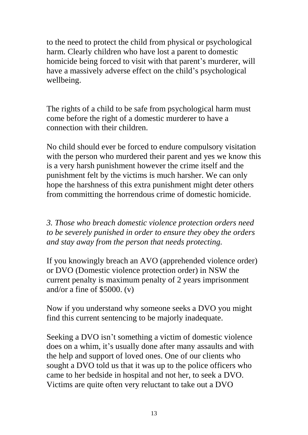to the need to protect the child from physical or psychological harm. Clearly children who have lost a parent to domestic homicide being forced to visit with that parent's murderer, will have a massively adverse effect on the child's psychological wellbeing.

The rights of a child to be safe from psychological harm must come before the right of a domestic murderer to have a connection with their children.

No child should ever be forced to endure compulsory visitation with the person who murdered their parent and yes we know this is a very harsh punishment however the crime itself and the punishment felt by the victims is much harsher. We can only hope the harshness of this extra punishment might deter others from committing the horrendous crime of domestic homicide.

*3. Those who breach domestic violence protection orders need to be severely punished in order to ensure they obey the orders and stay away from the person that needs protecting.*

If you knowingly breach an AVO (apprehended violence order) or DVO (Domestic violence protection order) in NSW the current penalty is maximum penalty of 2 years imprisonment and/or a fine of  $$5000. (v)$ 

Now if you understand why someone seeks a DVO you might find this current sentencing to be majorly inadequate.

Seeking a DVO isn't something a victim of domestic violence does on a whim, it's usually done after many assaults and with the help and support of loved ones. One of our clients who sought a DVO told us that it was up to the police officers who came to her bedside in hospital and not her, to seek a DVO. Victims are quite often very reluctant to take out a DVO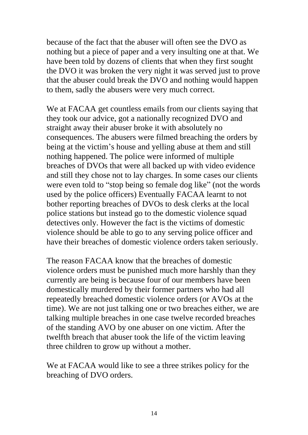because of the fact that the abuser will often see the DVO as nothing but a piece of paper and a very insulting one at that. We have been told by dozens of clients that when they first sought the DVO it was broken the very night it was served just to prove that the abuser could break the DVO and nothing would happen to them, sadly the abusers were very much correct.

We at FACAA get countless emails from our clients saying that they took our advice, got a nationally recognized DVO and straight away their abuser broke it with absolutely no consequences. The abusers were filmed breaching the orders by being at the victim's house and yelling abuse at them and still nothing happened. The police were informed of multiple breaches of DVOs that were all backed up with video evidence and still they chose not to lay charges. In some cases our clients were even told to "stop being so female dog like" (not the words used by the police officers) Eventually FACAA learnt to not bother reporting breaches of DVOs to desk clerks at the local police stations but instead go to the domestic violence squad detectives only. However the fact is the victims of domestic violence should be able to go to any serving police officer and have their breaches of domestic violence orders taken seriously.

The reason FACAA know that the breaches of domestic violence orders must be punished much more harshly than they currently are being is because four of our members have been domestically murdered by their former partners who had all repeatedly breached domestic violence orders (or AVOs at the time). We are not just talking one or two breaches either, we are talking multiple breaches in one case twelve recorded breaches of the standing AVO by one abuser on one victim. After the twelfth breach that abuser took the life of the victim leaving three children to grow up without a mother.

We at FACAA would like to see a three strikes policy for the breaching of DVO orders.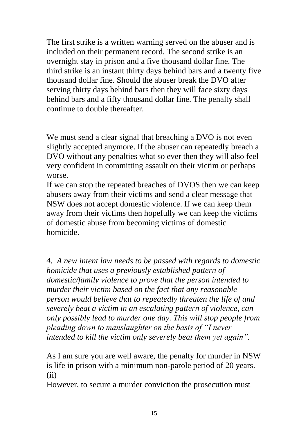The first strike is a written warning served on the abuser and is included on their permanent record. The second strike is an overnight stay in prison and a five thousand dollar fine. The third strike is an instant thirty days behind bars and a twenty five thousand dollar fine. Should the abuser break the DVO after serving thirty days behind bars then they will face sixty days behind bars and a fifty thousand dollar fine. The penalty shall continue to double thereafter.

We must send a clear signal that breaching a DVO is not even slightly accepted anymore. If the abuser can repeatedly breach a DVO without any penalties what so ever then they will also feel very confident in committing assault on their victim or perhaps worse.

If we can stop the repeated breaches of DVOS then we can keep abusers away from their victims and send a clear message that NSW does not accept domestic violence. If we can keep them away from their victims then hopefully we can keep the victims of domestic abuse from becoming victims of domestic homicide.

*4. A new intent law needs to be passed with regards to domestic homicide that uses a previously established pattern of domestic/family violence to prove that the person intended to murder their victim based on the fact that any reasonable person would believe that to repeatedly threaten the life of and severely beat a victim in an escalating pattern of violence, can only possibly lead to murder one day. This will stop people from pleading down to manslaughter on the basis of "I never intended to kill the victim only severely beat them yet again".*

As I am sure you are well aware, the penalty for murder in NSW is life in prison with a minimum non-parole period of 20 years. (ii)

However, to secure a murder conviction the prosecution must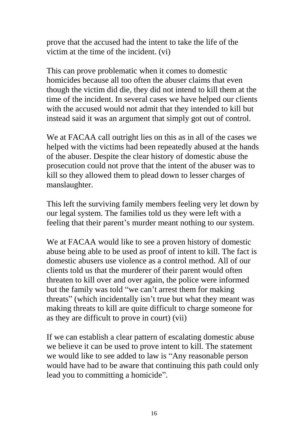prove that the accused had the intent to take the life of the victim at the time of the incident. (vi)

This can prove problematic when it comes to domestic homicides because all too often the abuser claims that even though the victim did die, they did not intend to kill them at the time of the incident. In several cases we have helped our clients with the accused would not admit that they intended to kill but instead said it was an argument that simply got out of control.

We at FACAA call outright lies on this as in all of the cases we helped with the victims had been repeatedly abused at the hands of the abuser. Despite the clear history of domestic abuse the prosecution could not prove that the intent of the abuser was to kill so they allowed them to plead down to lesser charges of manslaughter.

This left the surviving family members feeling very let down by our legal system. The families told us they were left with a feeling that their parent's murder meant nothing to our system.

We at FACAA would like to see a proven history of domestic abuse being able to be used as proof of intent to kill. The fact is domestic abusers use violence as a control method. All of our clients told us that the murderer of their parent would often threaten to kill over and over again, the police were informed but the family was told "we can't arrest them for making threats" (which incidentally isn't true but what they meant was making threats to kill are quite difficult to charge someone for as they are difficult to prove in court) (vii)

If we can establish a clear pattern of escalating domestic abuse we believe it can be used to prove intent to kill. The statement we would like to see added to law is "Any reasonable person would have had to be aware that continuing this path could only lead you to committing a homicide".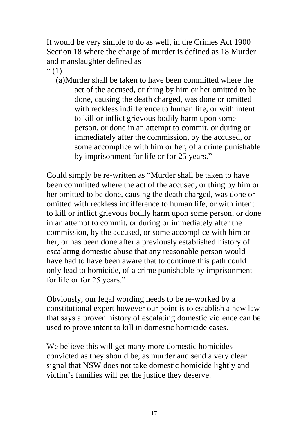It would be very simple to do as well, in the Crimes Act 1900 Section 18 where the charge of murder is defined as 18 Murder and manslaughter defined as

 $\lq(1)$ 

(a)Murder shall be taken to have been committed where the act of the accused, or thing by him or her omitted to be done, causing the death charged, was done or omitted with reckless indifference to human life, or with intent to kill or inflict grievous bodily harm upon some person, or done in an attempt to commit, or during or immediately after the commission, by the accused, or some accomplice with him or her, of a crime punishable by imprisonment for life or for 25 years."

Could simply be re-written as "Murder shall be taken to have been committed where the act of the accused, or thing by him or her omitted to be done, causing the death charged, was done or omitted with reckless indifference to human life, or with intent to kill or inflict grievous bodily harm upon some person, or done in an attempt to commit, or during or immediately after the commission, by the accused, or some accomplice with him or her, or has been done after a previously established history of escalating domestic abuse that any reasonable person would have had to have been aware that to continue this path could only lead to homicide, of a crime punishable by imprisonment for life or for 25 years."

Obviously, our legal wording needs to be re-worked by a constitutional expert however our point is to establish a new law that says a proven history of escalating domestic violence can be used to prove intent to kill in domestic homicide cases.

We believe this will get many more domestic homicides convicted as they should be, as murder and send a very clear signal that NSW does not take domestic homicide lightly and victim's families will get the justice they deserve.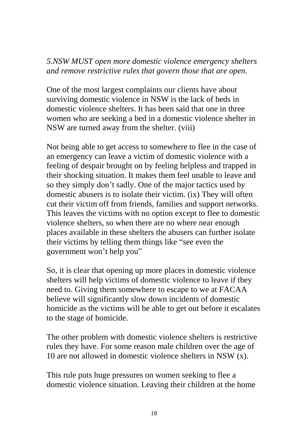## *5.NSW MUST open more domestic violence emergency shelters and remove restrictive rules that govern those that are open.*

One of the most largest complaints our clients have about surviving domestic violence in NSW is the lack of beds in domestic violence shelters. It has been said that one in three women who are seeking a bed in a domestic violence shelter in NSW are turned away from the shelter. (viii)

Not being able to get access to somewhere to flee in the case of an emergency can leave a victim of domestic violence with a feeling of despair brought on by feeling helpless and trapped in their shocking situation. It makes them feel unable to leave and so they simply don't sadly. One of the major tactics used by domestic abusers is to isolate their victim. (ix) They will often cut their victim off from friends, families and support networks. This leaves the victims with no option except to flee to domestic violence shelters, so when there are no where near enough places available in these shelters the abusers can further isolate their victims by telling them things like "see even the government won't help you"

So, it is clear that opening up more places in domestic violence shelters will help victims of domestic violence to leave if they need to. Giving them somewhere to escape to we at FACAA believe will significantly slow down incidents of domestic homicide as the victims will be able to get out before it escalates to the stage of homicide.

The other problem with domestic violence shelters is restrictive rules they have. For some reason male children over the age of 10 are not allowed in domestic violence shelters in NSW (x).

This rule puts huge pressures on women seeking to flee a domestic violence situation. Leaving their children at the home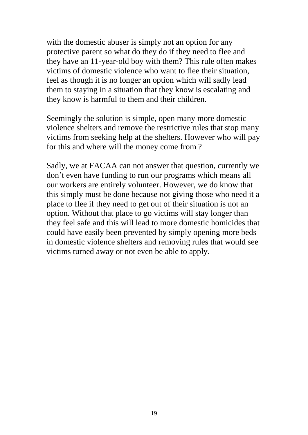with the domestic abuser is simply not an option for any protective parent so what do they do if they need to flee and they have an 11-year-old boy with them? This rule often makes victims of domestic violence who want to flee their situation, feel as though it is no longer an option which will sadly lead them to staying in a situation that they know is escalating and they know is harmful to them and their children.

Seemingly the solution is simple, open many more domestic violence shelters and remove the restrictive rules that stop many victims from seeking help at the shelters. However who will pay for this and where will the money come from ?

Sadly, we at FACAA can not answer that question, currently we don't even have funding to run our programs which means all our workers are entirely volunteer. However, we do know that this simply must be done because not giving those who need it a place to flee if they need to get out of their situation is not an option. Without that place to go victims will stay longer than they feel safe and this will lead to more domestic homicides that could have easily been prevented by simply opening more beds in domestic violence shelters and removing rules that would see victims turned away or not even be able to apply.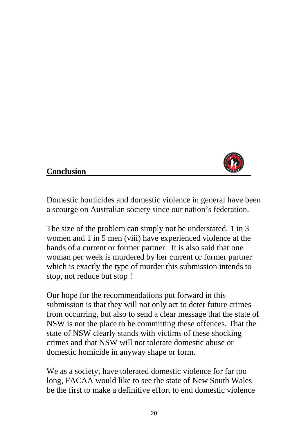

## **Conclusion**

Domestic homicides and domestic violence in general have been a scourge on Australian society since our nation's federation.

The size of the problem can simply not be understated. 1 in 3 women and 1 in 5 men (viii) have experienced violence at the hands of a current or former partner. It is also said that one woman per week is murdered by her current or former partner which is exactly the type of murder this submission intends to stop, not reduce but stop !

Our hope for the recommendations put forward in this submission is that they will not only act to deter future crimes from occurring, but also to send a clear message that the state of NSW is not the place to be committing these offences. That the state of NSW clearly stands with victims of these shocking crimes and that NSW will not tolerate domestic abuse or domestic homicide in anyway shape or form.

We as a society, have tolerated domestic violence for far too long, FACAA would like to see the state of New South Wales be the first to make a definitive effort to end domestic violence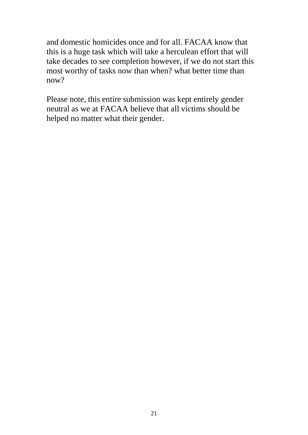and domestic homicides once and for all. FACAA know that this is a huge task which will take a herculean effort that will take decades to see completion however, if we do not start this most worthy of tasks now than when? what better time than now?

Please note, this entire submission was kept entirely gender neutral as we at FACAA believe that all victims should be helped no matter what their gender.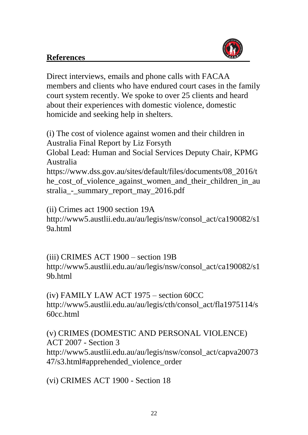#### **References**



Direct interviews, emails and phone calls with FACAA members and clients who have endured court cases in the family court system recently. We spoke to over 25 clients and heard about their experiences with domestic violence, domestic homicide and seeking help in shelters.

(i) The cost of violence against women and their children in Australia Final Report by Liz Forsyth Global Lead: Human and Social Services Deputy Chair, KPMG Australia

https://www.dss.gov.au/sites/default/files/documents/08\_2016/t he\_cost\_of\_violence\_against\_women\_and\_their\_children\_in\_au stralia - summary report may 2016.pdf

(ii) Crimes act 1900 section 19A http://www5.austlii.edu.au/au/legis/nsw/consol\_act/ca190082/s1 9a.html

(iii) CRIMES ACT 1900 – section 19B http://www5.austlii.edu.au/au/legis/nsw/consol\_act/ca190082/s1 9b.html

(iv) FAMILY LAW ACT 1975 – section 60CC http://www5.austlii.edu.au/au/legis/cth/consol\_act/fla1975114/s 60cc.html

(v) CRIMES (DOMESTIC AND PERSONAL VIOLENCE) ACT 2007 - Section 3 http://www5.austlii.edu.au/au/legis/nsw/consol\_act/capva20073 47/s3.html#apprehended\_violence\_order

(vi) CRIMES ACT 1900 - Section 18